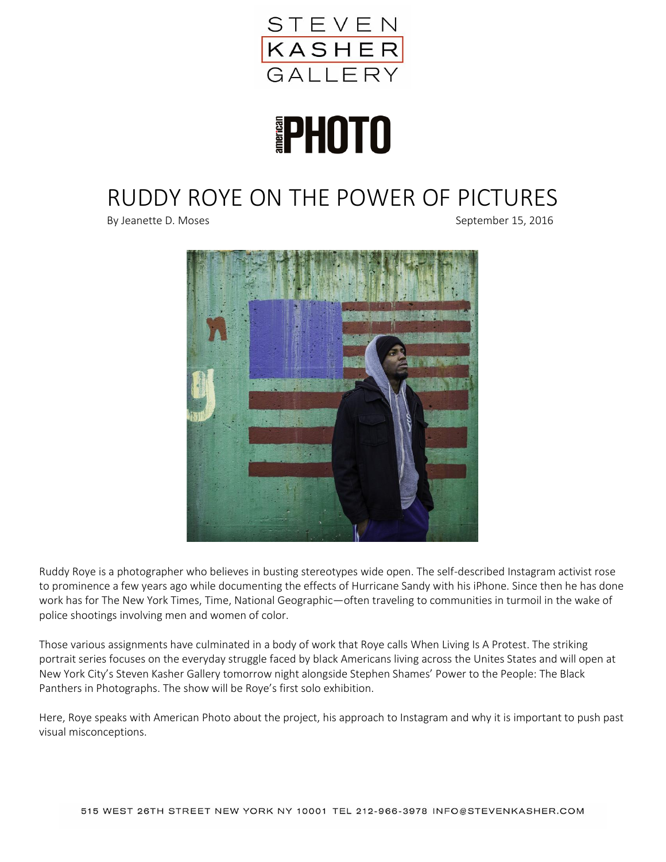

# **PHOTO**

## RUDDY ROYE ON THE POWER OF PICTURES

By Jeanette D. Moses September 15, 2016



Ruddy Roye is a photographer who believes in busting stereotypes wide open. The self-described Instagram activist rose to prominence a few years ago while documenting the effects of Hurricane Sandy with his iPhone. Since then he has done work has for The New York Times, Time, National Geographic—often traveling to communities in turmoil in the wake of police shootings involving men and women of color.

Those various assignments have culminated in a body of work that Roye calls When Living Is A Protest. The striking portrait series focuses on the everyday struggle faced by black Americans living across the Unites States and will open at New York City's Steven Kasher Gallery tomorrow night alongside Stephen Shames' Power to the People: The Black Panthers in Photographs. The show will be Roye's first solo exhibition.

Here, Roye speaks with American Photo about the project, his approach to Instagram and why it is important to push past visual misconceptions.